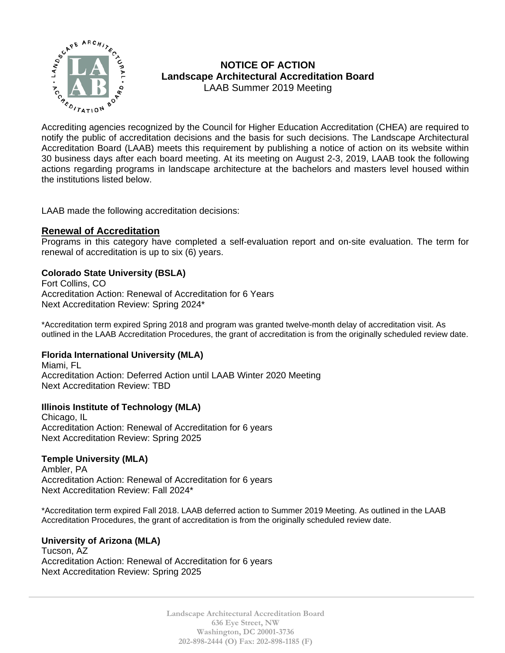

# **NOTICE OF ACTION Landscape Architectural Accreditation Board**  LAAB Summer 2019 Meeting

 $\sum_{\substack{P_{\epsilon_{\beta}} \\ P_{\epsilon_{\beta}}} \neq 0}}^{\infty}$  . LAND USING  $\sum_{P_{\epsilon_{\beta}}}$  . LAND USING  $\sum_{P_{\epsilon_{\beta}}}$ notify the public of accreditation decisions and the basis for such decisions. The Landscape Architectural Accreditation Board (LAAB) meets this requirement by publishing a notice of action on its website within 30 business days after each board meeting. At its meeting on August 2-3, 2019, LAAB took the following actions regarding programs in landscape architecture at the bachelors and masters level housed within the institutions listed below.

LAAB made the following accreditation decisions:

# **Renewal of Accreditation**

Programs in this category have completed a self-evaluation report and on-site evaluation. The term for renewal of accreditation is up to six (6) years.

# **Colorado State University (BSLA)**

Fort Collins, CO Accreditation Action: Renewal of Accreditation for 6 Years Next Accreditation Review: Spring 2024\*

\*Accreditation term expired Spring 2018 and program was granted twelve-month delay of accreditation visit. As outlined in the LAAB Accreditation Procedures, the grant of accreditation is from the originally scheduled review date.

# **Florida International University (MLA)**

Miami, FL Accreditation Action: Deferred Action until LAAB Winter 2020 Meeting Next Accreditation Review: TBD

# **Illinois Institute of Technology (MLA)**

Chicago, IL Accreditation Action: Renewal of Accreditation for 6 years Next Accreditation Review: Spring 2025

# **Temple University (MLA)**

Ambler, PA Accreditation Action: Renewal of Accreditation for 6 years Next Accreditation Review: Fall 2024\*

\*Accreditation term expired Fall 2018. LAAB deferred action to Summer 2019 Meeting. As outlined in the LAAB Accreditation Procedures, the grant of accreditation is from the originally scheduled review date.

### **University of Arizona (MLA)**

Tucson, AZ Accreditation Action: Renewal of Accreditation for 6 years Next Accreditation Review: Spring 2025

> **Landscape Architectural Accreditation Board 636 Eye Street, NW Washington, DC 20001-3736 202-898-2444 (O) Fax: 202-898-1185 (F)**